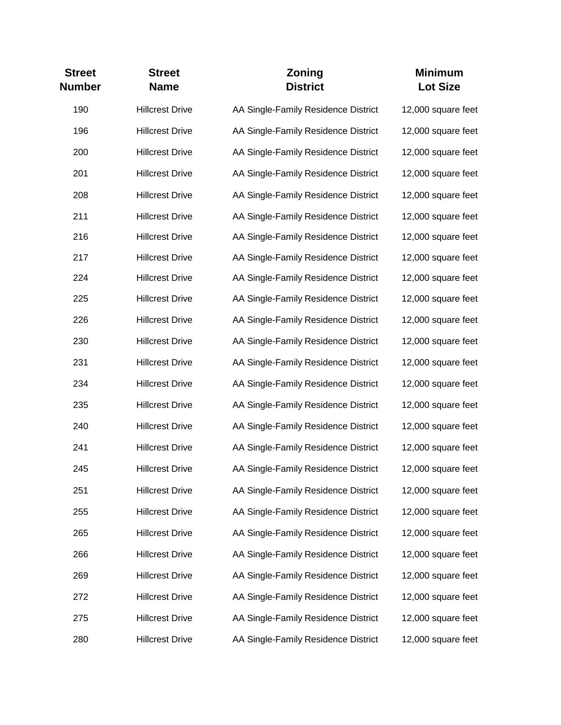| <b>Street</b><br><b>Number</b> | <b>Street</b><br><b>Name</b> | Zoning<br><b>District</b>           | <b>Minimum</b><br><b>Lot Size</b> |
|--------------------------------|------------------------------|-------------------------------------|-----------------------------------|
| 190                            | <b>Hillcrest Drive</b>       | AA Single-Family Residence District | 12,000 square feet                |
| 196                            | <b>Hillcrest Drive</b>       | AA Single-Family Residence District | 12,000 square feet                |
| 200                            | <b>Hillcrest Drive</b>       | AA Single-Family Residence District | 12,000 square feet                |
| 201                            | <b>Hillcrest Drive</b>       | AA Single-Family Residence District | 12,000 square feet                |
| 208                            | <b>Hillcrest Drive</b>       | AA Single-Family Residence District | 12,000 square feet                |
| 211                            | <b>Hillcrest Drive</b>       | AA Single-Family Residence District | 12,000 square feet                |
| 216                            | <b>Hillcrest Drive</b>       | AA Single-Family Residence District | 12,000 square feet                |
| 217                            | <b>Hillcrest Drive</b>       | AA Single-Family Residence District | 12,000 square feet                |
| 224                            | <b>Hillcrest Drive</b>       | AA Single-Family Residence District | 12,000 square feet                |
| 225                            | <b>Hillcrest Drive</b>       | AA Single-Family Residence District | 12,000 square feet                |
| 226                            | <b>Hillcrest Drive</b>       | AA Single-Family Residence District | 12,000 square feet                |
| 230                            | <b>Hillcrest Drive</b>       | AA Single-Family Residence District | 12,000 square feet                |
| 231                            | <b>Hillcrest Drive</b>       | AA Single-Family Residence District | 12,000 square feet                |
| 234                            | <b>Hillcrest Drive</b>       | AA Single-Family Residence District | 12,000 square feet                |
| 235                            | <b>Hillcrest Drive</b>       | AA Single-Family Residence District | 12,000 square feet                |
| 240                            | <b>Hillcrest Drive</b>       | AA Single-Family Residence District | 12,000 square feet                |
| 241                            | <b>Hillcrest Drive</b>       | AA Single-Family Residence District | 12,000 square feet                |
| 245                            | <b>Hillcrest Drive</b>       | AA Single-Family Residence District | 12,000 square feet                |
| 251                            | <b>Hillcrest Drive</b>       | AA Single-Family Residence District | 12,000 square feet                |
| 255                            | <b>Hillcrest Drive</b>       | AA Single-Family Residence District | 12,000 square feet                |
| 265                            | <b>Hillcrest Drive</b>       | AA Single-Family Residence District | 12,000 square feet                |
| 266                            | <b>Hillcrest Drive</b>       | AA Single-Family Residence District | 12,000 square feet                |
| 269                            | <b>Hillcrest Drive</b>       | AA Single-Family Residence District | 12,000 square feet                |
| 272                            | <b>Hillcrest Drive</b>       | AA Single-Family Residence District | 12,000 square feet                |
| 275                            | <b>Hillcrest Drive</b>       | AA Single-Family Residence District | 12,000 square feet                |
| 280                            | <b>Hillcrest Drive</b>       | AA Single-Family Residence District | 12,000 square feet                |